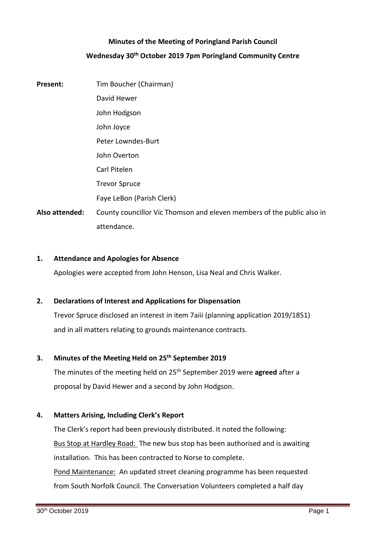# **Minutes of the Meeting of Poringland Parish Council Wednesday 30th October 2019 7pm Poringland Community Centre**

- **Present:** Tim Boucher (Chairman) David Hewer John Hodgson John Joyce Peter Lowndes-Burt John Overton Carl Pitelen Trevor Spruce Faye LeBon (Parish Clerk) **Also attended:** County councillor Vic Thomson and eleven members of the public also in
- **1. Attendance and Apologies for Absence**

attendance.

Apologies were accepted from John Henson, Lisa Neal and Chris Walker.

# **2. Declarations of Interest and Applications for Dispensation**

Trevor Spruce disclosed an interest in item 7aiii (planning application 2019/1851) and in all matters relating to grounds maintenance contracts.

# **3. Minutes of the Meeting Held on 25th September 2019**

The minutes of the meeting held on 25th September 2019 were **agreed** after a proposal by David Hewer and a second by John Hodgson.

### **4. Matters Arising, Including Clerk's Report**

The Clerk's report had been previously distributed. It noted the following: Bus Stop at Hardley Road: The new bus stop has been authorised and is awaiting installation. This has been contracted to Norse to complete. Pond Maintenance: An updated street cleaning programme has been requested

from South Norfolk Council. The Conversation Volunteers completed a half day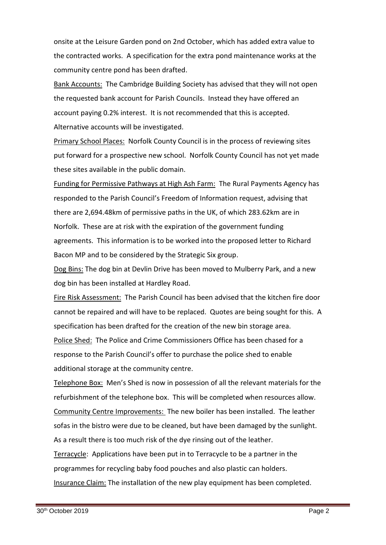onsite at the Leisure Garden pond on 2nd October, which has added extra value to the contracted works. A specification for the extra pond maintenance works at the community centre pond has been drafted.

Bank Accounts: The Cambridge Building Society has advised that they will not open the requested bank account for Parish Councils. Instead they have offered an account paying 0.2% interest. It is not recommended that this is accepted. Alternative accounts will be investigated.

Primary School Places: Norfolk County Council is in the process of reviewing sites put forward for a prospective new school. Norfolk County Council has not yet made these sites available in the public domain.

Funding for Permissive Pathways at High Ash Farm: The Rural Payments Agency has responded to the Parish Council's Freedom of Information request, advising that there are 2,694.48km of permissive paths in the UK, of which 283.62km are in Norfolk. These are at risk with the expiration of the government funding agreements. This information is to be worked into the proposed letter to Richard Bacon MP and to be considered by the Strategic Six group.

Dog Bins: The dog bin at Devlin Drive has been moved to Mulberry Park, and a new dog bin has been installed at Hardley Road.

Fire Risk Assessment: The Parish Council has been advised that the kitchen fire door cannot be repaired and will have to be replaced. Quotes are being sought for this. A specification has been drafted for the creation of the new bin storage area. Police Shed: The Police and Crime Commissioners Office has been chased for a response to the Parish Council's offer to purchase the police shed to enable additional storage at the community centre.

Telephone Box: Men's Shed is now in possession of all the relevant materials for the refurbishment of the telephone box. This will be completed when resources allow. Community Centre Improvements: The new boiler has been installed. The leather sofas in the bistro were due to be cleaned, but have been damaged by the sunlight. As a result there is too much risk of the dye rinsing out of the leather. Terracycle: Applications have been put in to Terracycle to be a partner in the programmes for recycling baby food pouches and also plastic can holders.

Insurance Claim: The installation of the new play equipment has been completed.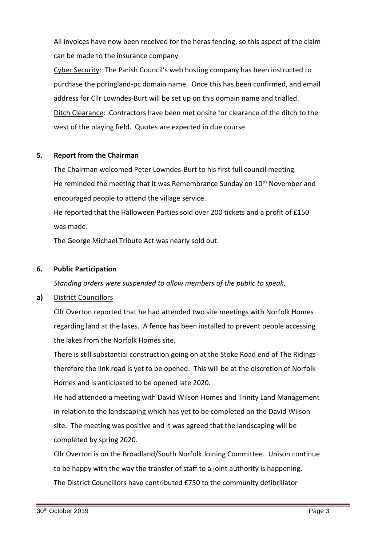All invoices have now been received for the heras fencing, so this aspect of the claim can be made to the insurance company

Cyber Security: The Parish Council's web hosting company has been instructed to purchase the poringland-pc domain name. Once this has been confirmed, and email address for Cllr Lowndes-Burt will be set up on this domain name and trialled. Ditch Clearance: Contractors have been met onsite for clearance of the ditch to the west of the playing field. Quotes are expected in due course.

### **5. Report from the Chairman**

The Chairman welcomed Peter Lowndes-Burt to his first full council meeting. He reminded the meeting that it was Remembrance Sunday on 10<sup>th</sup> November and encouraged people to attend the village service.

He reported that the Halloween Parties sold over 200 tickets and a profit of £150 was made.

The George Michael Tribute Act was nearly sold out.

## **6. Public Participation**

*Standing orders were suspended to allow members of the public to speak.*

# **a)** District Councillors

Cllr Overton reported that he had attended two site meetings with Norfolk Homes regarding land at the lakes. A fence has been installed to prevent people accessing the lakes from the Norfolk Homes site.

There is still substantial construction going on at the Stoke Road end of The Ridings therefore the link road is yet to be opened. This will be at the discretion of Norfolk Homes and is anticipated to be opened late 2020.

He had attended a meeting with David Wilson Homes and Trinity Land Management in relation to the landscaping which has yet to be completed on the David Wilson site. The meeting was positive and it was agreed that the landscaping will be completed by spring 2020.

Cllr Overton is on the Broadland/South Norfolk Joining Committee. Unison continue to be happy with the way the transfer of staff to a joint authority is happening. The District Councillors have contributed £750 to the community defibrillator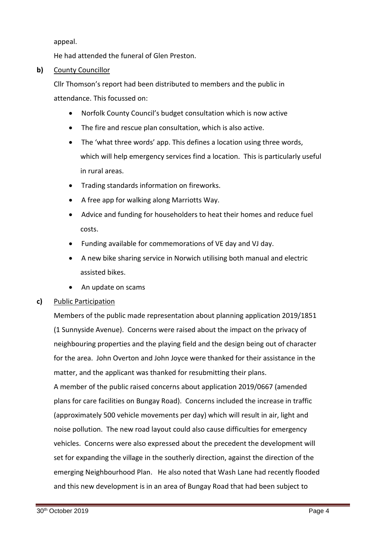appeal.

He had attended the funeral of Glen Preston.

## **b)** County Councillor

Cllr Thomson's report had been distributed to members and the public in attendance. This focussed on:

- Norfolk County Council's budget consultation which is now active
- The fire and rescue plan consultation, which is also active.
- The 'what three words' app. This defines a location using three words, which will help emergency services find a location. This is particularly useful in rural areas.
- Trading standards information on fireworks.
- A free app for walking along Marriotts Way.
- Advice and funding for householders to heat their homes and reduce fuel costs.
- Funding available for commemorations of VE day and VJ day.
- A new bike sharing service in Norwich utilising both manual and electric assisted bikes.
- An update on scams

# **c)** Public Participation

Members of the public made representation about planning application 2019/1851 (1 Sunnyside Avenue). Concerns were raised about the impact on the privacy of neighbouring properties and the playing field and the design being out of character for the area. John Overton and John Joyce were thanked for their assistance in the matter, and the applicant was thanked for resubmitting their plans.

A member of the public raised concerns about application 2019/0667 (amended plans for care facilities on Bungay Road). Concerns included the increase in traffic (approximately 500 vehicle movements per day) which will result in air, light and noise pollution. The new road layout could also cause difficulties for emergency vehicles. Concerns were also expressed about the precedent the development will set for expanding the village in the southerly direction, against the direction of the emerging Neighbourhood Plan. He also noted that Wash Lane had recently flooded and this new development is in an area of Bungay Road that had been subject to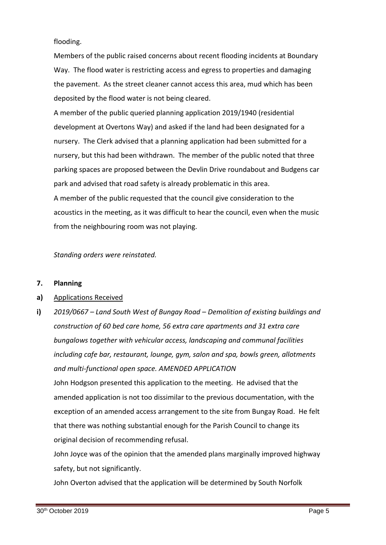flooding.

Members of the public raised concerns about recent flooding incidents at Boundary Way. The flood water is restricting access and egress to properties and damaging the pavement. As the street cleaner cannot access this area, mud which has been deposited by the flood water is not being cleared.

A member of the public queried planning application 2019/1940 (residential development at Overtons Way) and asked if the land had been designated for a nursery. The Clerk advised that a planning application had been submitted for a nursery, but this had been withdrawn. The member of the public noted that three parking spaces are proposed between the Devlin Drive roundabout and Budgens car park and advised that road safety is already problematic in this area. A member of the public requested that the council give consideration to the acoustics in the meeting, as it was difficult to hear the council, even when the music from the neighbouring room was not playing.

*Standing orders were reinstated.*

### **7. Planning**

### **a)** Applications Received

**i)** *2019/0667 – Land South West of Bungay Road – Demolition of existing buildings and construction of 60 bed care home, 56 extra care apartments and 31 extra care bungalows together with vehicular access, landscaping and communal facilities including cafe bar, restaurant, lounge, gym, salon and spa, bowls green, allotments and multi-functional open space. AMENDED APPLICATION*

John Hodgson presented this application to the meeting. He advised that the amended application is not too dissimilar to the previous documentation, with the exception of an amended access arrangement to the site from Bungay Road. He felt that there was nothing substantial enough for the Parish Council to change its original decision of recommending refusal.

John Joyce was of the opinion that the amended plans marginally improved highway safety, but not significantly.

John Overton advised that the application will be determined by South Norfolk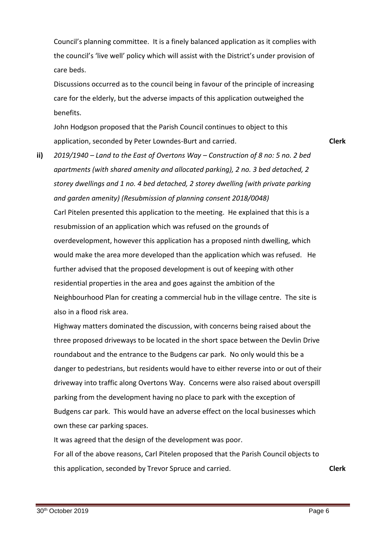Council's planning committee. It is a finely balanced application as it complies with the council's 'live well' policy which will assist with the District's under provision of care beds.

Discussions occurred as to the council being in favour of the principle of increasing care for the elderly, but the adverse impacts of this application outweighed the benefits.

John Hodgson proposed that the Parish Council continues to object to this application, seconded by Peter Lowndes-Burt and carried.

**Clerk**

**ii)** *2019/1940 – Land to the East of Overtons Way – Construction of 8 no: 5 no. 2 bed apartments (with shared amenity and allocated parking), 2 no. 3 bed detached, 2 storey dwellings and 1 no. 4 bed detached, 2 storey dwelling (with private parking and garden amenity) (Resubmission of planning consent 2018/0048)* Carl Pitelen presented this application to the meeting. He explained that this is a resubmission of an application which was refused on the grounds of overdevelopment, however this application has a proposed ninth dwelling, which would make the area more developed than the application which was refused. He further advised that the proposed development is out of keeping with other residential properties in the area and goes against the ambition of the Neighbourhood Plan for creating a commercial hub in the village centre. The site is

also in a flood risk area.

Highway matters dominated the discussion, with concerns being raised about the three proposed driveways to be located in the short space between the Devlin Drive roundabout and the entrance to the Budgens car park. No only would this be a danger to pedestrians, but residents would have to either reverse into or out of their driveway into traffic along Overtons Way. Concerns were also raised about overspill parking from the development having no place to park with the exception of Budgens car park. This would have an adverse effect on the local businesses which own these car parking spaces.

It was agreed that the design of the development was poor. For all of the above reasons, Carl Pitelen proposed that the Parish Council objects to this application, seconded by Trevor Spruce and carried. **Clerk**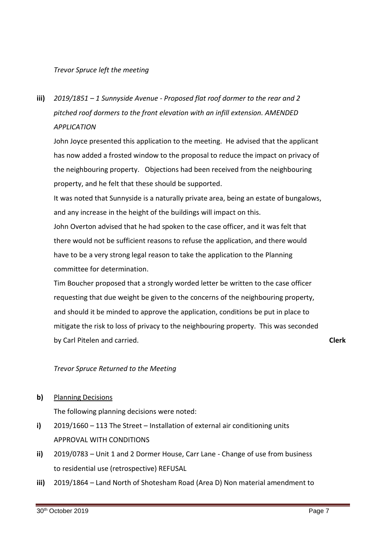### *Trevor Spruce left the meeting*

**iii)** *2019/1851 – 1 Sunnyside Avenue - Proposed flat roof dormer to the rear and 2 pitched roof dormers to the front elevation with an infill extension. AMENDED APPLICATION*

John Joyce presented this application to the meeting. He advised that the applicant has now added a frosted window to the proposal to reduce the impact on privacy of the neighbouring property. Objections had been received from the neighbouring property, and he felt that these should be supported.

It was noted that Sunnyside is a naturally private area, being an estate of bungalows, and any increase in the height of the buildings will impact on this.

John Overton advised that he had spoken to the case officer, and it was felt that there would not be sufficient reasons to refuse the application, and there would have to be a very strong legal reason to take the application to the Planning committee for determination.

Tim Boucher proposed that a strongly worded letter be written to the case officer requesting that due weight be given to the concerns of the neighbouring property, and should it be minded to approve the application, conditions be put in place to mitigate the risk to loss of privacy to the neighbouring property. This was seconded by Carl Pitelen and carried.

**Clerk**

### *Trevor Spruce Returned to the Meeting*

**b)** Planning Decisions

The following planning decisions were noted:

- **i)** 2019/1660 – 113 The Street – Installation of external air conditioning units APPROVAL WITH CONDITIONS
- **ii)** 2019/0783 – Unit 1 and 2 Dormer House, Carr Lane - Change of use from business to residential use (retrospective) REFUSAL
- **iii)** 2019/1864 – Land North of Shotesham Road (Area D) Non material amendment to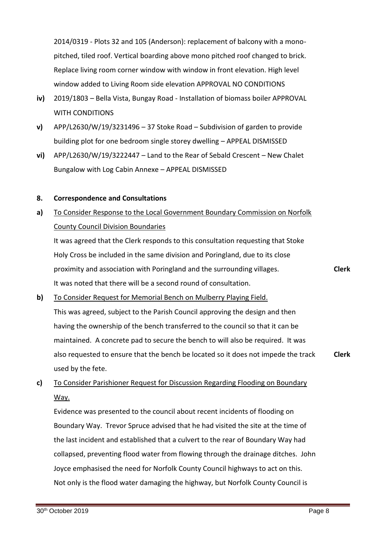2014/0319 - Plots 32 and 105 (Anderson): replacement of balcony with a monopitched, tiled roof. Vertical boarding above mono pitched roof changed to brick. Replace living room corner window with window in front elevation. High level window added to Living Room side elevation APPROVAL NO CONDITIONS

- **iv)** 2019/1803 – Bella Vista, Bungay Road - Installation of biomass boiler APPROVAL WITH CONDITIONS
- **v)** APP/L2630/W/19/3231496 – 37 Stoke Road – Subdivision of garden to provide building plot for one bedroom single storey dwelling – APPEAL DISMISSED
- **vi)** APP/L2630/W/19/3222447 – Land to the Rear of Sebald Crescent – New Chalet Bungalow with Log Cabin Annexe – APPEAL DISMISSED

### **8. Correspondence and Consultations**

### **a)** To Consider Response to the Local Government Boundary Commission on Norfolk County Council Division Boundaries

It was agreed that the Clerk responds to this consultation requesting that Stoke Holy Cross be included in the same division and Poringland, due to its close proximity and association with Poringland and the surrounding villages. It was noted that there will be a second round of consultation. **Clerk**

**b)** To Consider Request for Memorial Bench on Mulberry Playing Field. This was agreed, subject to the Parish Council approving the design and then having the ownership of the bench transferred to the council so that it can be maintained. A concrete pad to secure the bench to will also be required. It was also requested to ensure that the bench be located so it does not impede the track used by the fete. **Clerk**

### **c)**  To Consider Parishioner Request for Discussion Regarding Flooding on Boundary Way.

Evidence was presented to the council about recent incidents of flooding on Boundary Way. Trevor Spruce advised that he had visited the site at the time of the last incident and established that a culvert to the rear of Boundary Way had collapsed, preventing flood water from flowing through the drainage ditches. John Joyce emphasised the need for Norfolk County Council highways to act on this. Not only is the flood water damaging the highway, but Norfolk County Council is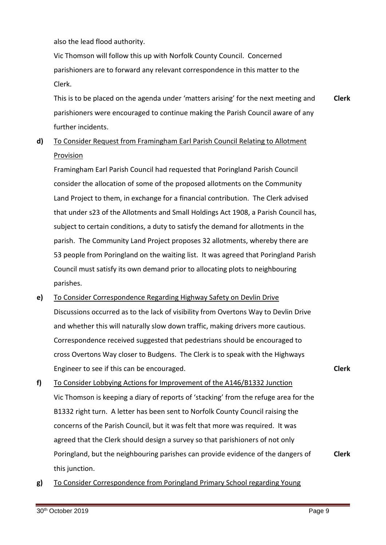also the lead flood authority.

Vic Thomson will follow this up with Norfolk County Council. Concerned parishioners are to forward any relevant correspondence in this matter to the Clerk.

This is to be placed on the agenda under 'matters arising' for the next meeting and parishioners were encouraged to continue making the Parish Council aware of any further incidents. **Clerk**

### **d)** To Consider Request from Framingham Earl Parish Council Relating to Allotment **Provision**

Framingham Earl Parish Council had requested that Poringland Parish Council consider the allocation of some of the proposed allotments on the Community Land Project to them, in exchange for a financial contribution. The Clerk advised that under s23 of the Allotments and Small Holdings Act 1908, a Parish Council has, subject to certain conditions, a duty to satisfy the demand for allotments in the parish. The Community Land Project proposes 32 allotments, whereby there are 53 people from Poringland on the waiting list. It was agreed that Poringland Parish Council must satisfy its own demand prior to allocating plots to neighbouring parishes.

- **e)**  To Consider Correspondence Regarding Highway Safety on Devlin Drive Discussions occurred as to the lack of visibility from Overtons Way to Devlin Drive and whether this will naturally slow down traffic, making drivers more cautious. Correspondence received suggested that pedestrians should be encouraged to cross Overtons Way closer to Budgens. The Clerk is to speak with the Highways Engineer to see if this can be encouraged.
- **f)**  To Consider Lobbying Actions for Improvement of the A146/B1332 Junction Vic Thomson is keeping a diary of reports of 'stacking' from the refuge area for the B1332 right turn. A letter has been sent to Norfolk County Council raising the concerns of the Parish Council, but it was felt that more was required. It was agreed that the Clerk should design a survey so that parishioners of not only Poringland, but the neighbouring parishes can provide evidence of the dangers of this junction. **Clerk**
- **g)**  To Consider Correspondence from Poringland Primary School regarding Young

**Clerk**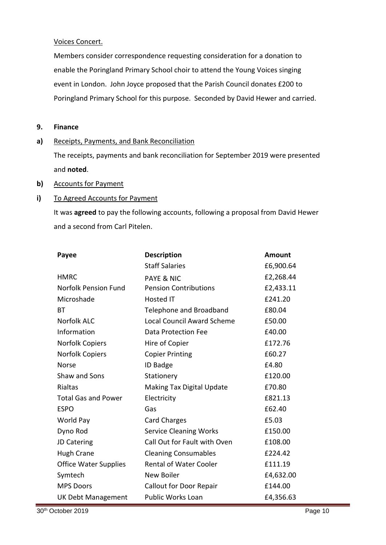Voices Concert.

Members consider correspondence requesting consideration for a donation to enable the Poringland Primary School choir to attend the Young Voices singing event in London. John Joyce proposed that the Parish Council donates £200 to Poringland Primary School for this purpose. Seconded by David Hewer and carried.

**9. Finance**

- **a)** Receipts, Payments, and Bank Reconciliation The receipts, payments and bank reconciliation for September 2019 were presented and **noted**.
- **b)** Accounts for Payment
- **i)** To Agreed Accounts for Payment

It was **agreed** to pay the following accounts, following a proposal from David Hewer and a second from Carl Pitelen.

| Payee                        | <b>Description</b>                | <b>Amount</b> |
|------------------------------|-----------------------------------|---------------|
|                              | <b>Staff Salaries</b>             | £6,900.64     |
| <b>HMRC</b>                  | <b>PAYE &amp; NIC</b>             | £2,268.44     |
| <b>Norfolk Pension Fund</b>  | <b>Pension Contributions</b>      | £2,433.11     |
| Microshade                   | <b>Hosted IT</b>                  | £241.20       |
| BT                           | Telephone and Broadband           | £80.04        |
| Norfolk ALC                  | <b>Local Council Award Scheme</b> | £50.00        |
| Information                  | <b>Data Protection Fee</b>        | £40.00        |
| Norfolk Copiers              | Hire of Copier                    | £172.76       |
| Norfolk Copiers              | <b>Copier Printing</b>            | £60.27        |
| <b>Norse</b>                 | ID Badge                          | £4.80         |
| Shaw and Sons                | Stationery                        | £120.00       |
| <b>Rialtas</b>               | <b>Making Tax Digital Update</b>  | £70.80        |
| <b>Total Gas and Power</b>   | Electricity                       | £821.13       |
| <b>ESPO</b>                  | Gas                               | £62.40        |
| World Pay                    | <b>Card Charges</b>               | £5.03         |
| Dyno Rod                     | <b>Service Cleaning Works</b>     | £150.00       |
| JD Catering                  | Call Out for Fault with Oven      | £108.00       |
| <b>Hugh Crane</b>            | <b>Cleaning Consumables</b>       | £224.42       |
| <b>Office Water Supplies</b> | <b>Rental of Water Cooler</b>     | £111.19       |
| Symtech                      | New Boiler                        | £4,632.00     |
| <b>MPS Doors</b>             | <b>Callout for Door Repair</b>    | £144.00       |
| <b>UK Debt Management</b>    | <b>Public Works Loan</b>          | £4,356.63     |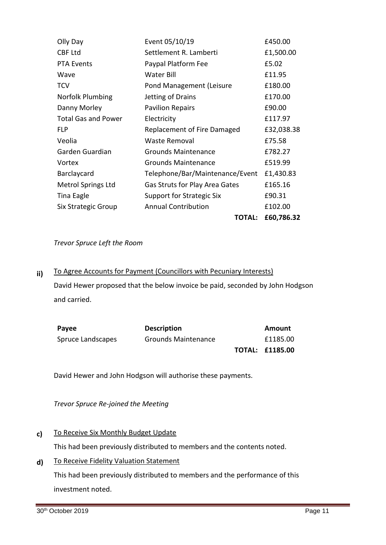|                            | TOTAL:                          | £60,786.32 |
|----------------------------|---------------------------------|------------|
| Six Strategic Group        | <b>Annual Contribution</b>      | £102.00    |
| Tina Eagle                 | Support for Strategic Six       | £90.31     |
| <b>Metrol Springs Ltd</b>  | Gas Struts for Play Area Gates  | £165.16    |
| Barclaycard                | Telephone/Bar/Maintenance/Event | £1,430.83  |
| Vortex                     | <b>Grounds Maintenance</b>      | £519.99    |
| Garden Guardian            | <b>Grounds Maintenance</b>      | £782.27    |
| Veolia                     | Waste Removal                   | £75.58     |
| <b>FLP</b>                 | Replacement of Fire Damaged     | £32,038.38 |
| <b>Total Gas and Power</b> | Electricity                     | £117.97    |
| Danny Morley               | <b>Pavilion Repairs</b>         | £90.00     |
| Norfolk Plumbing           | Jetting of Drains               | £170.00    |
| <b>TCV</b>                 | Pond Management (Leisure        | £180.00    |
| Wave                       | Water Bill                      | £11.95     |
| <b>PTA Events</b>          | Paypal Platform Fee             | £5.02      |
| <b>CBF Ltd</b>             | Settlement R. Lamberti          | £1,500.00  |
| Olly Day                   | Event 05/10/19                  | £450.00    |

*Trevor Spruce Left the Room*

### **ii)**  To Agree Accounts for Payment (Councillors with Pecuniary Interests)

David Hewer proposed that the below invoice be paid, seconded by John Hodgson and carried.

| Payee             | <b>Description</b>  | Amount                 |
|-------------------|---------------------|------------------------|
| Spruce Landscapes | Grounds Maintenance | £1185.00               |
|                   |                     | <b>TOTAL: £1185.00</b> |

David Hewer and John Hodgson will authorise these payments.

*Trevor Spruce Re-joined the Meeting*

### **c)**  To Receive Six Monthly Budget Update

This had been previously distributed to members and the contents noted.

**d)**  To Receive Fidelity Valuation Statement

> This had been previously distributed to members and the performance of this investment noted.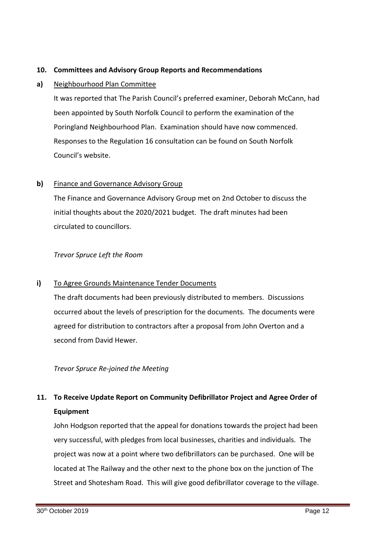### **10. Committees and Advisory Group Reports and Recommendations**

### **a)** Neighbourhood Plan Committee

It was reported that The Parish Council's preferred examiner, Deborah McCann, had been appointed by South Norfolk Council to perform the examination of the Poringland Neighbourhood Plan. Examination should have now commenced. Responses to the Regulation 16 consultation can be found on South Norfolk Council's website.

### **b)**  Finance and Governance Advisory Group

The Finance and Governance Advisory Group met on 2nd October to discuss the initial thoughts about the 2020/2021 budget. The draft minutes had been circulated to councillors.

### *Trevor Spruce Left the Room*

### **i)** To Agree Grounds Maintenance Tender Documents

The draft documents had been previously distributed to members. Discussions occurred about the levels of prescription for the documents. The documents were agreed for distribution to contractors after a proposal from John Overton and a second from David Hewer.

### *Trevor Spruce Re-joined the Meeting*

# **11. To Receive Update Report on Community Defibrillator Project and Agree Order of Equipment**

John Hodgson reported that the appeal for donations towards the project had been very successful, with pledges from local businesses, charities and individuals. The project was now at a point where two defibrillators can be purchased. One will be located at The Railway and the other next to the phone box on the junction of The Street and Shotesham Road. This will give good defibrillator coverage to the village.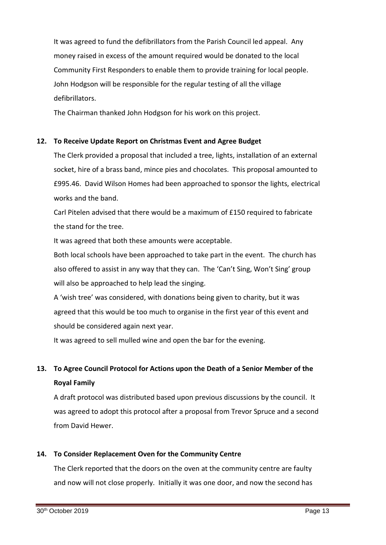It was agreed to fund the defibrillators from the Parish Council led appeal. Any money raised in excess of the amount required would be donated to the local Community First Responders to enable them to provide training for local people. John Hodgson will be responsible for the regular testing of all the village defibrillators.

The Chairman thanked John Hodgson for his work on this project.

# **12. To Receive Update Report on Christmas Event and Agree Budget**

The Clerk provided a proposal that included a tree, lights, installation of an external socket, hire of a brass band, mince pies and chocolates. This proposal amounted to £995.46. David Wilson Homes had been approached to sponsor the lights, electrical works and the band.

Carl Pitelen advised that there would be a maximum of £150 required to fabricate the stand for the tree.

It was agreed that both these amounts were acceptable.

Both local schools have been approached to take part in the event. The church has also offered to assist in any way that they can. The 'Can't Sing, Won't Sing' group will also be approached to help lead the singing.

A 'wish tree' was considered, with donations being given to charity, but it was agreed that this would be too much to organise in the first year of this event and should be considered again next year.

It was agreed to sell mulled wine and open the bar for the evening.

# **13. To Agree Council Protocol for Actions upon the Death of a Senior Member of the Royal Family**

A draft protocol was distributed based upon previous discussions by the council. It was agreed to adopt this protocol after a proposal from Trevor Spruce and a second from David Hewer.

# **14. To Consider Replacement Oven for the Community Centre**

The Clerk reported that the doors on the oven at the community centre are faulty and now will not close properly. Initially it was one door, and now the second has